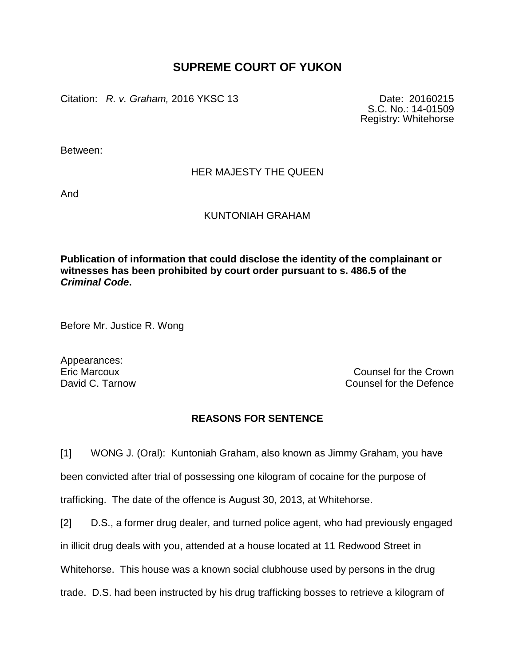## **SUPREME COURT OF YUKON**

Citation: *R. v. Graham,* 2016 YKSC 13 Date: 20160215

S.C. No.: 14-01509 Registry: Whitehorse

Between:

## HER MAJESTY THE QUEEN

And

## KUNTONIAH GRAHAM

**Publication of information that could disclose the identity of the complainant or witnesses has been prohibited by court order pursuant to s. 486.5 of the**  *Criminal Code***.**

Before Mr. Justice R. Wong

Appearances:

Eric Marcoux Counsel for the Crown David C. Tarnow Counsel for the Defence

## **REASONS FOR SENTENCE**

[1] WONG J. (Oral): Kuntoniah Graham, also known as Jimmy Graham, you have been convicted after trial of possessing one kilogram of cocaine for the purpose of trafficking. The date of the offence is August 30, 2013, at Whitehorse.

[2] D.S., a former drug dealer, and turned police agent, who had previously engaged in illicit drug deals with you, attended at a house located at 11 Redwood Street in Whitehorse. This house was a known social clubhouse used by persons in the drug trade. D.S. had been instructed by his drug trafficking bosses to retrieve a kilogram of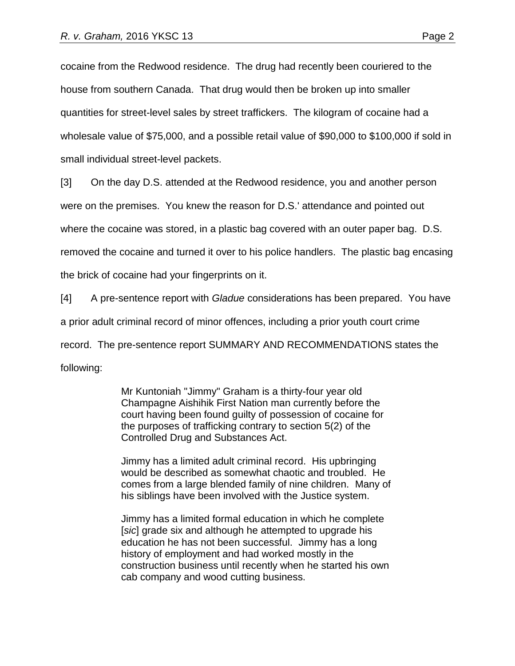cocaine from the Redwood residence. The drug had recently been couriered to the house from southern Canada. That drug would then be broken up into smaller quantities for street-level sales by street traffickers. The kilogram of cocaine had a wholesale value of \$75,000, and a possible retail value of \$90,000 to \$100,000 if sold in small individual street-level packets.

[3] On the day D.S. attended at the Redwood residence, you and another person

were on the premises. You knew the reason for D.S.' attendance and pointed out

where the cocaine was stored, in a plastic bag covered with an outer paper bag. D.S.

removed the cocaine and turned it over to his police handlers. The plastic bag encasing

the brick of cocaine had your fingerprints on it.

[4] A pre-sentence report with *Gladue* considerations has been prepared. You have

a prior adult criminal record of minor offences, including a prior youth court crime

record. The pre-sentence report SUMMARY AND RECOMMENDATIONS states the

following:

Mr Kuntoniah "Jimmy" Graham is a thirty-four year old Champagne Aishihik First Nation man currently before the court having been found guilty of possession of cocaine for the purposes of trafficking contrary to section 5(2) of the Controlled Drug and Substances Act.

Jimmy has a limited adult criminal record. His upbringing would be described as somewhat chaotic and troubled. He comes from a large blended family of nine children. Many of his siblings have been involved with the Justice system.

Jimmy has a limited formal education in which he complete [*sic*] grade six and although he attempted to upgrade his education he has not been successful. Jimmy has a long history of employment and had worked mostly in the construction business until recently when he started his own cab company and wood cutting business.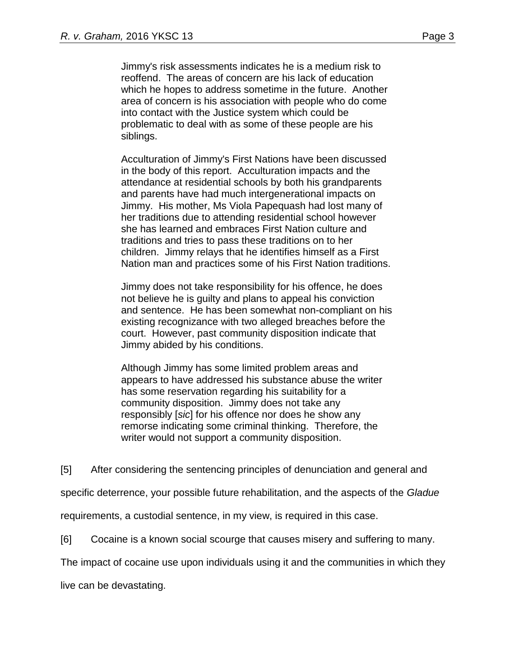Jimmy's risk assessments indicates he is a medium risk to reoffend. The areas of concern are his lack of education which he hopes to address sometime in the future. Another area of concern is his association with people who do come into contact with the Justice system which could be problematic to deal with as some of these people are his siblings.

Acculturation of Jimmy's First Nations have been discussed in the body of this report. Acculturation impacts and the attendance at residential schools by both his grandparents and parents have had much intergenerational impacts on Jimmy. His mother, Ms Viola Papequash had lost many of her traditions due to attending residential school however she has learned and embraces First Nation culture and traditions and tries to pass these traditions on to her children. Jimmy relays that he identifies himself as a First Nation man and practices some of his First Nation traditions.

Jimmy does not take responsibility for his offence, he does not believe he is guilty and plans to appeal his conviction and sentence. He has been somewhat non-compliant on his existing recognizance with two alleged breaches before the court. However, past community disposition indicate that Jimmy abided by his conditions.

Although Jimmy has some limited problem areas and appears to have addressed his substance abuse the writer has some reservation regarding his suitability for a community disposition. Jimmy does not take any responsibly [*sic*] for his offence nor does he show any remorse indicating some criminal thinking. Therefore, the writer would not support a community disposition.

[5] After considering the sentencing principles of denunciation and general and

specific deterrence, your possible future rehabilitation, and the aspects of the *Gladue*

requirements, a custodial sentence, in my view, is required in this case.

[6] Cocaine is a known social scourge that causes misery and suffering to many.

The impact of cocaine use upon individuals using it and the communities in which they

live can be devastating.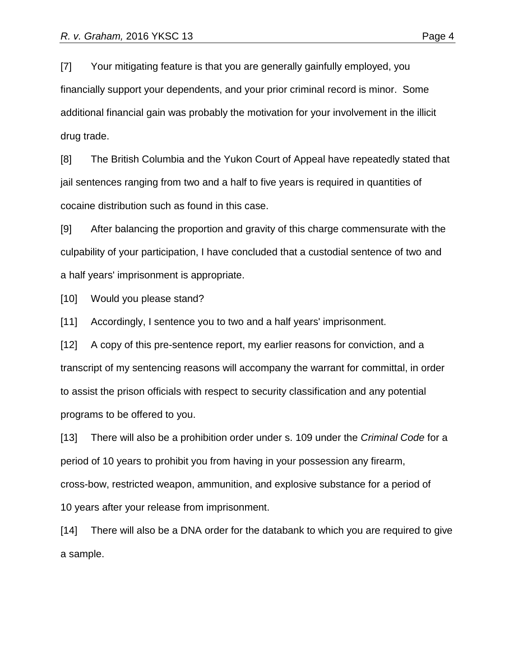[7] Your mitigating feature is that you are generally gainfully employed, you financially support your dependents, and your prior criminal record is minor. Some additional financial gain was probably the motivation for your involvement in the illicit drug trade.

[8] The British Columbia and the Yukon Court of Appeal have repeatedly stated that jail sentences ranging from two and a half to five years is required in quantities of cocaine distribution such as found in this case.

[9] After balancing the proportion and gravity of this charge commensurate with the culpability of your participation, I have concluded that a custodial sentence of two and a half years' imprisonment is appropriate.

[10] Would you please stand?

[11] Accordingly, I sentence you to two and a half years' imprisonment.

[12] A copy of this pre-sentence report, my earlier reasons for conviction, and a transcript of my sentencing reasons will accompany the warrant for committal, in order to assist the prison officials with respect to security classification and any potential programs to be offered to you.

[13] There will also be a prohibition order under s. 109 under the *Criminal Code* for a period of 10 years to prohibit you from having in your possession any firearm, cross-bow, restricted weapon, ammunition, and explosive substance for a period of 10 years after your release from imprisonment.

[14] There will also be a DNA order for the databank to which you are required to give a sample.